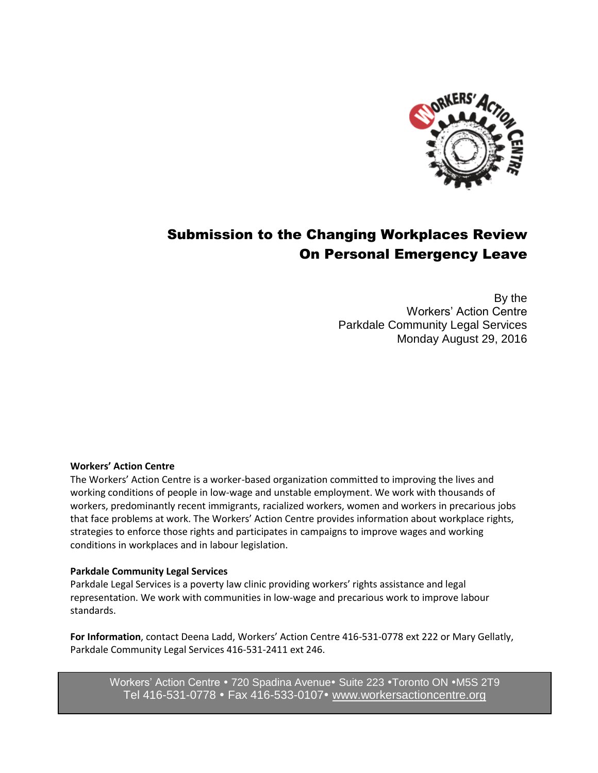

# Submission to the Changing Workplaces Review On Personal Emergency Leave

By the Workers' Action Centre Parkdale Community Legal Services Monday August 29, 2016

#### **Workers' Action Centre**

The Workers' Action Centre is a worker-based organization committed to improving the lives and working conditions of people in low-wage and unstable employment. We work with thousands of workers, predominantly recent immigrants, racialized workers, women and workers in precarious jobs that face problems at work. The Workers' Action Centre provides information about workplace rights, strategies to enforce those rights and participates in campaigns to improve wages and working conditions in workplaces and in labour legislation.

#### **Parkdale Community Legal Services**

Parkdale Legal Services is a poverty law clinic providing workers' rights assistance and legal representation. We work with communities in low-wage and precarious work to improve labour standards.

**For Information**, contact Deena Ladd, Workers' Action Centre 416-531-0778 ext 222 or Mary Gellatly, Parkdale Community Legal Services 416-531-2411 ext 246.

Workers' Action Centre . 720 Spadina Avenue. Suite 223 . Toronto ON . M5S 2T9 Tel 416-531-0778 • Fax 416-533-0107 • [www.workersactioncentre.org](http://www.workersactioncentre.org/)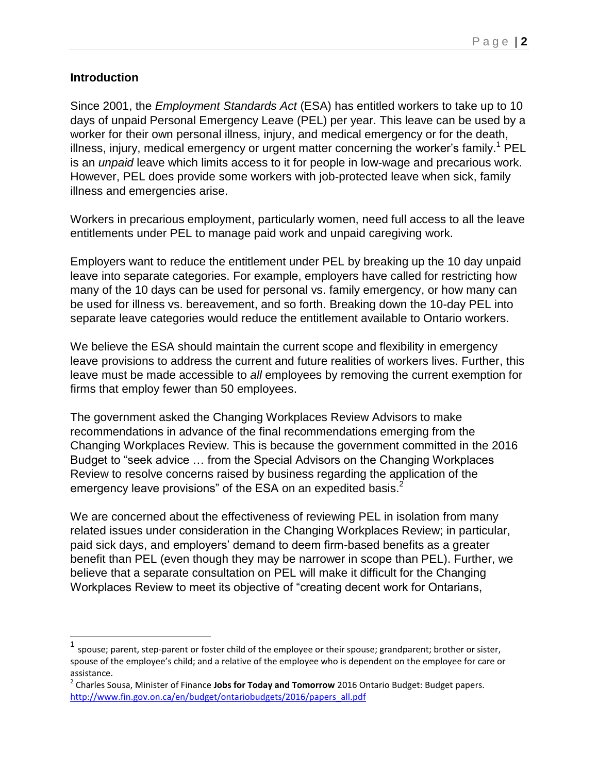# **Introduction**

 $\overline{a}$ 

Since 2001, the *Employment Standards Act* (ESA) has entitled workers to take up to 10 days of unpaid Personal Emergency Leave (PEL) per year. This leave can be used by a worker for their own personal illness, injury, and medical emergency or for the death, illness, injury, medical emergency or urgent matter concerning the worker's family.<sup>1</sup> PEL is an *unpaid* leave which limits access to it for people in low-wage and precarious work. However, PEL does provide some workers with job-protected leave when sick, family illness and emergencies arise.

Workers in precarious employment, particularly women, need full access to all the leave entitlements under PEL to manage paid work and unpaid caregiving work.

Employers want to reduce the entitlement under PEL by breaking up the 10 day unpaid leave into separate categories. For example, employers have called for restricting how many of the 10 days can be used for personal vs. family emergency, or how many can be used for illness vs. bereavement, and so forth. Breaking down the 10-day PEL into separate leave categories would reduce the entitlement available to Ontario workers.

We believe the ESA should maintain the current scope and flexibility in emergency leave provisions to address the current and future realities of workers lives. Further, this leave must be made accessible to *all* employees by removing the current exemption for firms that employ fewer than 50 employees.

The government asked the Changing Workplaces Review Advisors to make recommendations in advance of the final recommendations emerging from the Changing Workplaces Review. This is because the government committed in the 2016 Budget to "seek advice … from the Special Advisors on the Changing Workplaces Review to resolve concerns raised by business regarding the application of the emergency leave provisions" of the ESA on an expedited basis. $2^2$ 

We are concerned about the effectiveness of reviewing PEL in isolation from many related issues under consideration in the Changing Workplaces Review; in particular, paid sick days, and employers' demand to deem firm-based benefits as a greater benefit than PEL (even though they may be narrower in scope than PEL). Further, we believe that a separate consultation on PEL will make it difficult for the Changing Workplaces Review to meet its objective of "creating decent work for Ontarians,

<sup>&</sup>lt;sup>1</sup> spouse; parent, step-parent or foster child of the employee or their spouse; grandparent; brother or sister, spouse of the employee's child; and a relative of the employee who is dependent on the employee for care or assistance.

<sup>2</sup> Charles Sousa, Minister of Finance **Jobs for Today and Tomorrow** 2016 Ontario Budget: Budget papers. [http://www.fin.gov.on.ca/en/budget/ontariobudgets/2016/papers\\_all.pdf](http://www.fin.gov.on.ca/en/budget/ontariobudgets/2016/papers_all.pdf)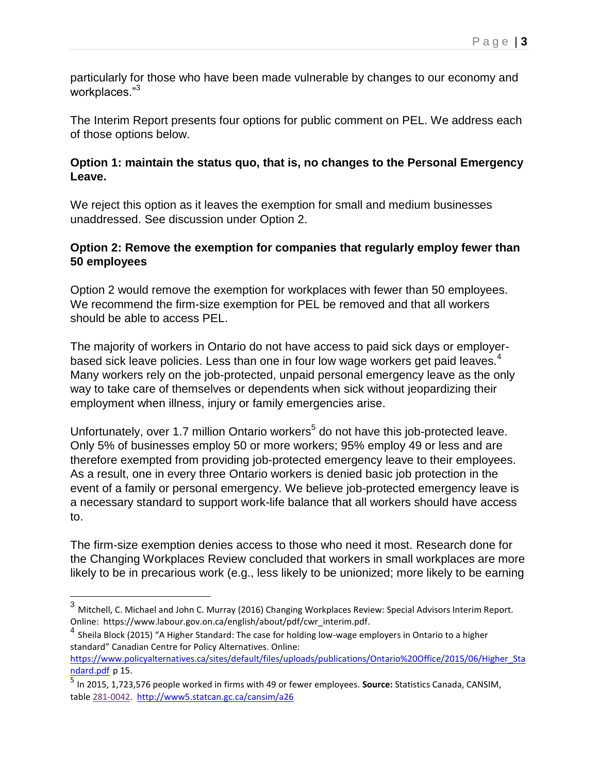particularly for those who have been made vulnerable by changes to our economy and workplaces."<sup>3</sup>

The Interim Report presents four options for public comment on PEL. We address each of those options below.

## **Option 1: maintain the status quo, that is, no changes to the Personal Emergency Leave.**

We reject this option as it leaves the exemption for small and medium businesses unaddressed. See discussion under Option 2.

## **Option 2: Remove the exemption for companies that regularly employ fewer than 50 employees**

Option 2 would remove the exemption for workplaces with fewer than 50 employees. We recommend the firm-size exemption for PEL be removed and that all workers should be able to access PEL.

The majority of workers in Ontario do not have access to paid sick days or employerbased sick leave policies. Less than one in four low wage workers get paid leaves.<sup>4</sup> Many workers rely on the job-protected, unpaid personal emergency leave as the only way to take care of themselves or dependents when sick without jeopardizing their employment when illness, injury or family emergencies arise.

Unfortunately, over 1.7 million Ontario workers<sup>5</sup> do not have this job-protected leave. Only 5% of businesses employ 50 or more workers; 95% employ 49 or less and are therefore exempted from providing job-protected emergency leave to their employees. As a result, one in every three Ontario workers is denied basic job protection in the event of a family or personal emergency. We believe job-protected emergency leave is a necessary standard to support work-life balance that all workers should have access to.

The firm-size exemption denies access to those who need it most. Research done for the Changing Workplaces Review concluded that workers in small workplaces are more likely to be in precarious work (e.g., less likely to be unionized; more likely to be earning

 $\overline{a}$ 

<sup>3</sup> Mitchell, C. Michael and John C. Murray (2016) Changing Workplaces Review: Special Advisors Interim Report. Online: https://www.labour.gov.on.ca/english/about/pdf/cwr\_interim.pdf.

<sup>4</sup> Sheila Block (2015) "A Higher Standard: The case for holding low-wage employers in Ontario to a higher standard" Canadian Centre for Policy Alternatives. Online:

[https://www.policyalternatives.ca/sites/default/files/uploads/publications/Ontario%20Office/2015/06/Higher\\_Sta](https://www.policyalternatives.ca/sites/default/files/uploads/publications/Ontario%20Office/2015/06/Higher_Standard.pdf) [ndard.pdf](https://www.policyalternatives.ca/sites/default/files/uploads/publications/Ontario%20Office/2015/06/Higher_Standard.pdf) p 15.

<sup>5</sup> In 2015, 1,723,576 people worked in firms with 49 or fewer employees. **Source:** Statistics Canada, CANSIM, table [281-0042.](http://www5.statcan.gc.ca/cansim/search-recherche?lang=eng&searchTypeByBalue=1&pattern=281-0042&p2=37) <http://www5.statcan.gc.ca/cansim/a26>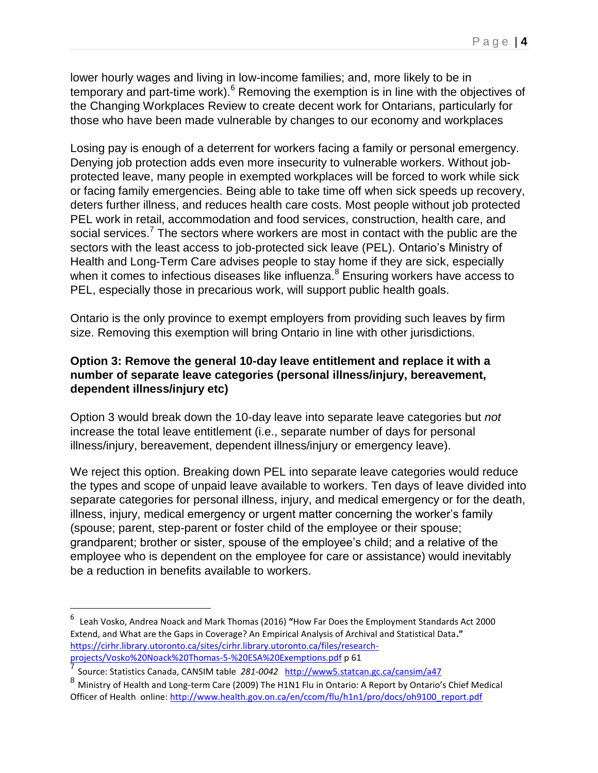lower hourly wages and living in low-income families; and, more likely to be in temporary and part-time work).<sup>6</sup> Removing the exemption is in line with the objectives of the Changing Workplaces Review to create decent work for Ontarians, particularly for those who have been made vulnerable by changes to our economy and workplaces

Losing pay is enough of a deterrent for workers facing a family or personal emergency. Denying job protection adds even more insecurity to vulnerable workers. Without jobprotected leave, many people in exempted workplaces will be forced to work while sick or facing family emergencies. Being able to take time off when sick speeds up recovery, deters further illness, and reduces health care costs. Most people without job protected PEL work in retail, accommodation and food services, construction, health care, and social services.<sup>7</sup> The sectors where workers are most in contact with the public are the sectors with the least access to job-protected sick leave (PEL). Ontario's Ministry of Health and Long-Term Care advises people to stay home if they are sick, especially when it comes to infectious diseases like influenza.<sup>8</sup> Ensuring workers have access to PEL, especially those in precarious work, will support public health goals.

Ontario is the only province to exempt employers from providing such leaves by firm size. Removing this exemption will bring Ontario in line with other jurisdictions.

#### **Option 3: Remove the general 10-day leave entitlement and replace it with a number of separate leave categories (personal illness/injury, bereavement, dependent illness/injury etc)**

Option 3 would break down the 10-day leave into separate leave categories but *not* increase the total leave entitlement (i.e., separate number of days for personal illness/injury, bereavement, dependent illness/injury or emergency leave).

We reject this option. Breaking down PEL into separate leave categories would reduce the types and scope of unpaid leave available to workers. Ten days of leave divided into separate categories for personal illness, injury, and medical emergency or for the death, illness, injury, medical emergency or urgent matter concerning the worker's family (spouse; parent, step-parent or foster child of the employee or their spouse; grandparent; brother or sister, spouse of the employee's child; and a relative of the employee who is dependent on the employee for care or assistance) would inevitably be a reduction in benefits available to workers.

 $\overline{a}$ 

<sup>6</sup> Leah Vosko, Andrea Noack and Mark Thomas (2016) **"**How Far Does the Employment Standards Act 2000 Extend, and What are the Gaps in Coverage? An Empirical Analysis of Archival and Statistical Data**."**  [https://cirhr.library.utoronto.ca/sites/cirhr.library.utoronto.ca/files/research](https://cirhr.library.utoronto.ca/sites/cirhr.library.utoronto.ca/files/research-projects/Vosko%20Noack%20Thomas-5-%20ESA%20Exemptions.pdf)[projects/Vosko%20Noack%20Thomas-5-%20ESA%20Exemptions.pdf](https://cirhr.library.utoronto.ca/sites/cirhr.library.utoronto.ca/files/research-projects/Vosko%20Noack%20Thomas-5-%20ESA%20Exemptions.pdf) p 61

<sup>7</sup> Source: Statistics Canada, CANSIM table *281-0042* <http://www5.statcan.gc.ca/cansim/a47>

<sup>8&</sup>lt;br>8 Ministry of Health and Long-term Care (2009) The H1N1 Flu in Ontario: A Report by Ontario's Chief Medical Officer of Health online: [http://www.health.gov.on.ca/en/ccom/flu/h1n1/pro/docs/oh9100\\_report.pdf](http://www.health.gov.on.ca/en/ccom/flu/h1n1/pro/docs/oh9100_report.pdf)